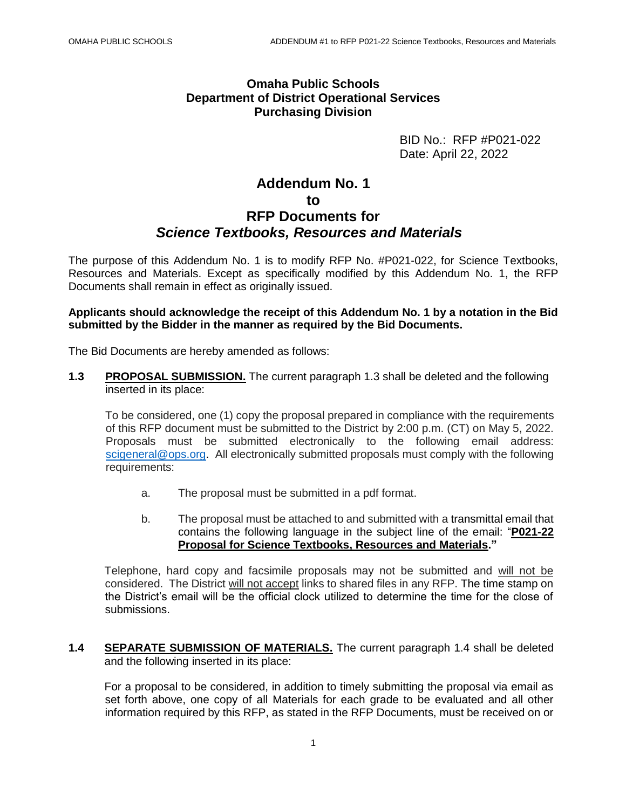## **Omaha Public Schools Department of District Operational Services Purchasing Division**

BID No.: RFP #P021-022 Date: April 22, 2022

## **Addendum No. 1 to RFP Documents for**  *Science Textbooks, Resources and Materials*

The purpose of this Addendum No. 1 is to modify RFP No. #P021-022, for Science Textbooks, Resources and Materials. Except as specifically modified by this Addendum No. 1, the RFP Documents shall remain in effect as originally issued.

**Applicants should acknowledge the receipt of this Addendum No. 1 by a notation in the Bid submitted by the Bidder in the manner as required by the Bid Documents.**

The Bid Documents are hereby amended as follows:

**1.3 PROPOSAL SUBMISSION.** The current paragraph 1.3 shall be deleted and the following inserted in its place:

To be considered, one (1) copy the proposal prepared in compliance with the requirements of this RFP document must be submitted to the District by 2:00 p.m. (CT) on May 5, 2022. Proposals must be submitted electronically to the following email address: [scigeneral@ops.org.](mailto:scigeneral@ops.org) All electronically submitted proposals must comply with the following requirements:

- a. The proposal must be submitted in a pdf format.
- b. The proposal must be attached to and submitted with a transmittal email that contains the following language in the subject line of the email: "**P021-22 Proposal for Science Textbooks, Resources and Materials."**

Telephone, hard copy and facsimile proposals may not be submitted and will not be considered. The District will not accept links to shared files in any RFP. The time stamp on the District's email will be the official clock utilized to determine the time for the close of submissions.

**1.4 SEPARATE SUBMISSION OF MATERIALS.** The current paragraph 1.4 shall be deleted and the following inserted in its place:

For a proposal to be considered, in addition to timely submitting the proposal via email as set forth above, one copy of all Materials for each grade to be evaluated and all other information required by this RFP, as stated in the RFP Documents, must be received on or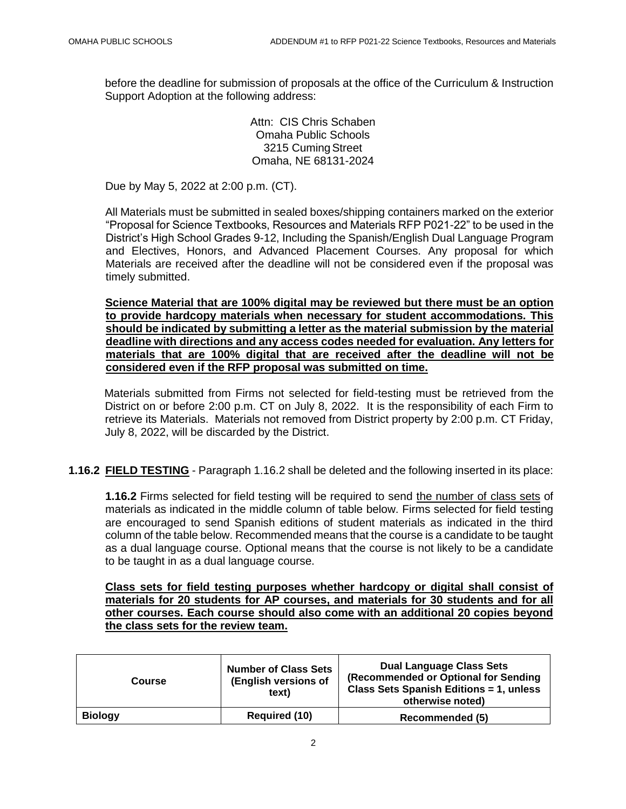before the deadline for submission of proposals at the office of the Curriculum & Instruction Support Adoption at the following address:

> Attn: CIS Chris Schaben Omaha Public Schools 3215 Cuming Street Omaha, NE 68131-2024

Due by May 5, 2022 at 2:00 p.m. (CT).

All Materials must be submitted in sealed boxes/shipping containers marked on the exterior "Proposal for Science Textbooks, Resources and Materials RFP P021-22" to be used in the District's High School Grades 9-12, Including the Spanish/English Dual Language Program and Electives, Honors, and Advanced Placement Courses. Any proposal for which Materials are received after the deadline will not be considered even if the proposal was timely submitted.

**Science Material that are 100% digital may be reviewed but there must be an option to provide hardcopy materials when necessary for student accommodations. This should be indicated by submitting a letter as the material submission by the material deadline with directions and any access codes needed for evaluation. Any letters for materials that are 100% digital that are received after the deadline will not be considered even if the RFP proposal was submitted on time.** 

Materials submitted from Firms not selected for field-testing must be retrieved from the District on or before 2:00 p.m. CT on July 8, 2022. It is the responsibility of each Firm to retrieve its Materials. Materials not removed from District property by 2:00 p.m. CT Friday, July 8, 2022, will be discarded by the District.

**1.16.2 FIELD TESTING** - Paragraph 1.16.2 shall be deleted and the following inserted in its place:

**1.16.2** Firms selected for field testing will be required to send the number of class sets of materials as indicated in the middle column of table below. Firms selected for field testing are encouraged to send Spanish editions of student materials as indicated in the third column of the table below. Recommended means that the course is a candidate to be taught as a dual language course. Optional means that the course is not likely to be a candidate to be taught in as a dual language course.

**Class sets for field testing purposes whether hardcopy or digital shall consist of materials for 20 students for AP courses, and materials for 30 students and for all other courses. Each course should also come with an additional 20 copies beyond the class sets for the review team.**

| <b>Course</b>  | <b>Number of Class Sets</b><br>(English versions of<br>text) | <b>Dual Language Class Sets</b><br>(Recommended or Optional for Sending<br><b>Class Sets Spanish Editions = 1, unless</b><br>otherwise noted) |
|----------------|--------------------------------------------------------------|-----------------------------------------------------------------------------------------------------------------------------------------------|
| <b>Biology</b> | Required (10)                                                | Recommended (5)                                                                                                                               |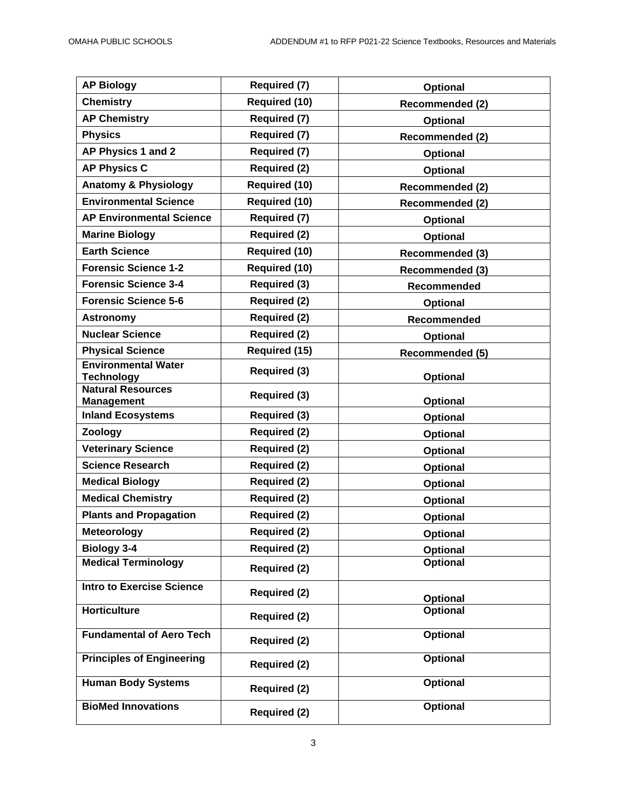| <b>AP Biology</b>                               | <b>Required (7)</b>  | Optional               |  |
|-------------------------------------------------|----------------------|------------------------|--|
| <b>Chemistry</b>                                | Required (10)        | Recommended (2)        |  |
| <b>AP Chemistry</b>                             | Required (7)         | <b>Optional</b>        |  |
| <b>Physics</b>                                  | <b>Required (7)</b>  | <b>Recommended (2)</b> |  |
| AP Physics 1 and 2                              | Required (7)         | <b>Optional</b>        |  |
| <b>AP Physics C</b>                             | <b>Required (2)</b>  | Optional               |  |
| <b>Anatomy &amp; Physiology</b>                 | Required (10)        | <b>Recommended (2)</b> |  |
| <b>Environmental Science</b>                    | Required (10)        | <b>Recommended (2)</b> |  |
| <b>AP Environmental Science</b>                 | Required (7)         | Optional               |  |
| <b>Marine Biology</b>                           | <b>Required (2)</b>  | <b>Optional</b>        |  |
| <b>Earth Science</b>                            | Required (10)        | Recommended (3)        |  |
| <b>Forensic Science 1-2</b>                     | <b>Required (10)</b> | Recommended (3)        |  |
| <b>Forensic Science 3-4</b>                     | <b>Required (3)</b>  | Recommended            |  |
| <b>Forensic Science 5-6</b>                     | <b>Required (2)</b>  | <b>Optional</b>        |  |
| <b>Astronomy</b>                                | <b>Required (2)</b>  | <b>Recommended</b>     |  |
| <b>Nuclear Science</b>                          | <b>Required (2)</b>  | Optional               |  |
| <b>Physical Science</b>                         | Required (15)        | <b>Recommended (5)</b> |  |
| <b>Environmental Water</b><br><b>Technology</b> | <b>Required (3)</b>  | <b>Optional</b>        |  |
| <b>Natural Resources</b><br><b>Management</b>   | <b>Required (3)</b>  | <b>Optional</b>        |  |
| <b>Inland Ecosystems</b>                        | <b>Required (3)</b>  | <b>Optional</b>        |  |
| Zoology                                         | <b>Required (2)</b>  | Optional               |  |
| <b>Veterinary Science</b>                       | <b>Required (2)</b>  | <b>Optional</b>        |  |
| <b>Science Research</b>                         | <b>Required (2)</b>  | Optional               |  |
| <b>Medical Biology</b>                          | <b>Required (2)</b>  | Optional               |  |
| <b>Medical Chemistry</b>                        | <b>Required (2)</b>  | <b>Optional</b>        |  |
| <b>Plants and Propagation</b>                   | <b>Required (2)</b>  | Optional               |  |
| <b>Meteorology</b>                              | <b>Required (2)</b>  | Optional               |  |
| <b>Biology 3-4</b>                              | <b>Required (2)</b>  | Optional               |  |
| <b>Medical Terminology</b>                      | <b>Required (2)</b>  | <b>Optional</b>        |  |
| <b>Intro to Exercise Science</b>                | <b>Required (2)</b>  | <b>Optional</b>        |  |
| Horticulture                                    | <b>Required (2)</b>  | <b>Optional</b>        |  |
| <b>Fundamental of Aero Tech</b>                 | <b>Required (2)</b>  | <b>Optional</b>        |  |
| <b>Principles of Engineering</b>                | <b>Required (2)</b>  | Optional               |  |
| <b>Human Body Systems</b>                       | <b>Required (2)</b>  | Optional               |  |
| <b>BioMed Innovations</b>                       | <b>Required (2)</b>  | <b>Optional</b>        |  |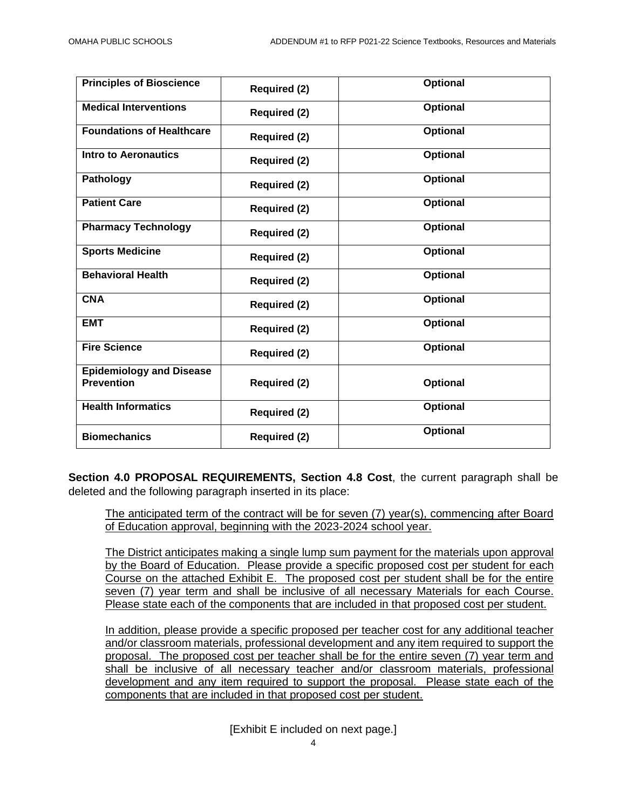| <b>Principles of Bioscience</b>                      | <b>Required (2)</b> | Optional        |
|------------------------------------------------------|---------------------|-----------------|
| <b>Medical Interventions</b>                         | <b>Required (2)</b> | Optional        |
| <b>Foundations of Healthcare</b>                     | <b>Required (2)</b> | Optional        |
| <b>Intro to Aeronautics</b>                          | <b>Required (2)</b> | Optional        |
| Pathology                                            | <b>Required (2)</b> | Optional        |
| <b>Patient Care</b>                                  | <b>Required (2)</b> | Optional        |
| <b>Pharmacy Technology</b>                           | <b>Required (2)</b> | Optional        |
| <b>Sports Medicine</b>                               | <b>Required (2)</b> | Optional        |
| <b>Behavioral Health</b>                             | <b>Required (2)</b> | Optional        |
| <b>CNA</b>                                           | <b>Required (2)</b> | Optional        |
| <b>EMT</b>                                           | <b>Required (2)</b> | Optional        |
| <b>Fire Science</b>                                  | <b>Required (2)</b> | Optional        |
| <b>Epidemiology and Disease</b><br><b>Prevention</b> | <b>Required (2)</b> | Optional        |
| <b>Health Informatics</b>                            | <b>Required (2)</b> | <b>Optional</b> |
| <b>Biomechanics</b>                                  | <b>Required (2)</b> | <b>Optional</b> |

**Section 4.0 PROPOSAL REQUIREMENTS, Section 4.8 Cost**, the current paragraph shall be deleted and the following paragraph inserted in its place:

The anticipated term of the contract will be for seven (7) year(s), commencing after Board of Education approval, beginning with the 2023-2024 school year.

The District anticipates making a single lump sum payment for the materials upon approval by the Board of Education. Please provide a specific proposed cost per student for each Course on the attached Exhibit E. The proposed cost per student shall be for the entire seven (7) year term and shall be inclusive of all necessary Materials for each Course. Please state each of the components that are included in that proposed cost per student.

In addition, please provide a specific proposed per teacher cost for any additional teacher and/or classroom materials, professional development and any item required to support the proposal. The proposed cost per teacher shall be for the entire seven (7) year term and shall be inclusive of all necessary teacher and/or classroom materials, professional development and any item required to support the proposal. Please state each of the components that are included in that proposed cost per student.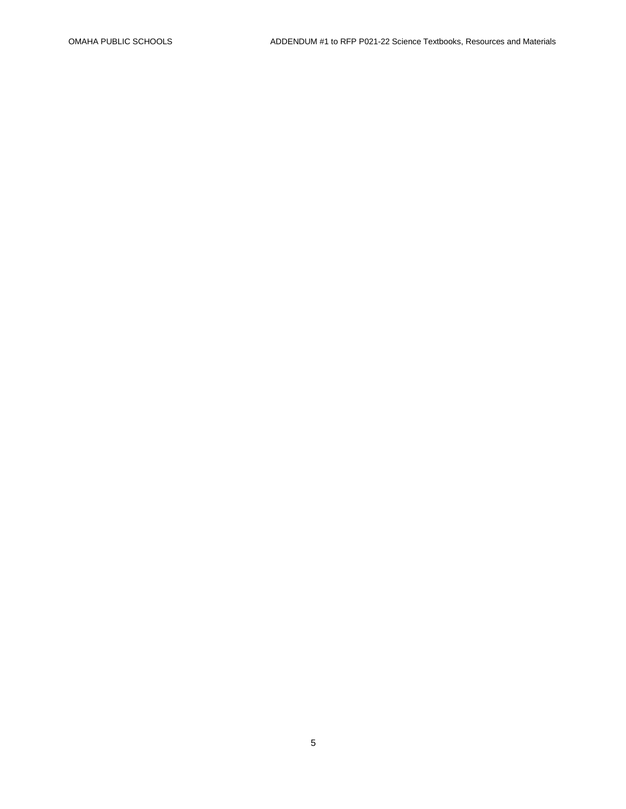5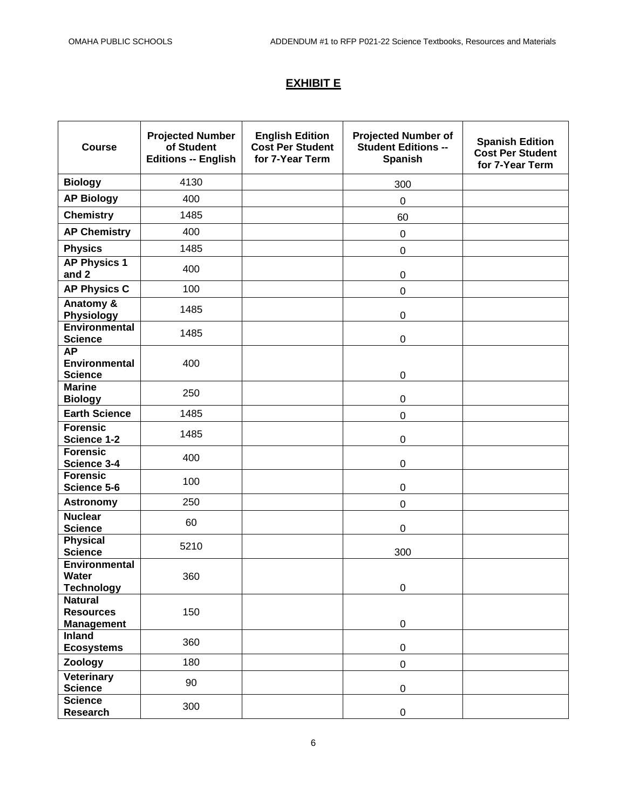## **EXHIBIT E**

| <b>Course</b>                                           | <b>Projected Number</b><br>of Student<br><b>Editions -- English</b> | <b>English Edition</b><br><b>Cost Per Student</b><br>for 7-Year Term | <b>Projected Number of</b><br><b>Student Editions --</b><br><b>Spanish</b> | <b>Spanish Edition</b><br><b>Cost Per Student</b><br>for 7-Year Term |
|---------------------------------------------------------|---------------------------------------------------------------------|----------------------------------------------------------------------|----------------------------------------------------------------------------|----------------------------------------------------------------------|
| <b>Biology</b>                                          | 4130                                                                |                                                                      | 300                                                                        |                                                                      |
| <b>AP Biology</b>                                       | 400                                                                 |                                                                      | $\pmb{0}$                                                                  |                                                                      |
| <b>Chemistry</b>                                        | 1485                                                                |                                                                      | 60                                                                         |                                                                      |
| <b>AP Chemistry</b>                                     | 400                                                                 |                                                                      | $\pmb{0}$                                                                  |                                                                      |
| <b>Physics</b>                                          | 1485                                                                |                                                                      | $\pmb{0}$                                                                  |                                                                      |
| <b>AP Physics 1</b><br>and 2                            | 400                                                                 |                                                                      | $\pmb{0}$                                                                  |                                                                      |
| <b>AP Physics C</b>                                     | 100                                                                 |                                                                      | $\mathbf 0$                                                                |                                                                      |
| Anatomy &<br>Physiology                                 | 1485                                                                |                                                                      | $\pmb{0}$                                                                  |                                                                      |
| Environmental<br><b>Science</b>                         | 1485                                                                |                                                                      | $\pmb{0}$                                                                  |                                                                      |
| <b>AP</b><br><b>Environmental</b><br><b>Science</b>     | 400                                                                 |                                                                      | $\mathbf 0$                                                                |                                                                      |
| <b>Marine</b><br><b>Biology</b>                         | 250                                                                 |                                                                      | $\mathbf 0$                                                                |                                                                      |
| <b>Earth Science</b>                                    | 1485                                                                |                                                                      | $\pmb{0}$                                                                  |                                                                      |
| <b>Forensic</b><br>Science 1-2                          | 1485                                                                |                                                                      | $\boldsymbol{0}$                                                           |                                                                      |
| <b>Forensic</b><br>Science 3-4                          | 400                                                                 |                                                                      | $\mathbf 0$                                                                |                                                                      |
| <b>Forensic</b><br>Science 5-6                          | 100                                                                 |                                                                      | 0                                                                          |                                                                      |
| <b>Astronomy</b>                                        | 250                                                                 |                                                                      | $\mathbf 0$                                                                |                                                                      |
| <b>Nuclear</b><br><b>Science</b>                        | 60                                                                  |                                                                      | $\mathbf 0$                                                                |                                                                      |
| <b>Physical</b><br><b>Science</b>                       | 5210                                                                |                                                                      | 300                                                                        |                                                                      |
| Environmental<br>Water<br><b>Technology</b>             | 360                                                                 |                                                                      | $\mathbf 0$                                                                |                                                                      |
| <b>Natural</b><br><b>Resources</b><br><b>Management</b> | 150                                                                 |                                                                      | $\mathbf 0$                                                                |                                                                      |
| <b>Inland</b><br><b>Ecosystems</b>                      | 360                                                                 |                                                                      | $\pmb{0}$                                                                  |                                                                      |
| Zoology                                                 | 180                                                                 |                                                                      | $\pmb{0}$                                                                  |                                                                      |
| <b>Veterinary</b><br><b>Science</b>                     | 90                                                                  |                                                                      | $\pmb{0}$                                                                  |                                                                      |
| <b>Science</b><br>Research                              | 300                                                                 |                                                                      | $\mathbf 0$                                                                |                                                                      |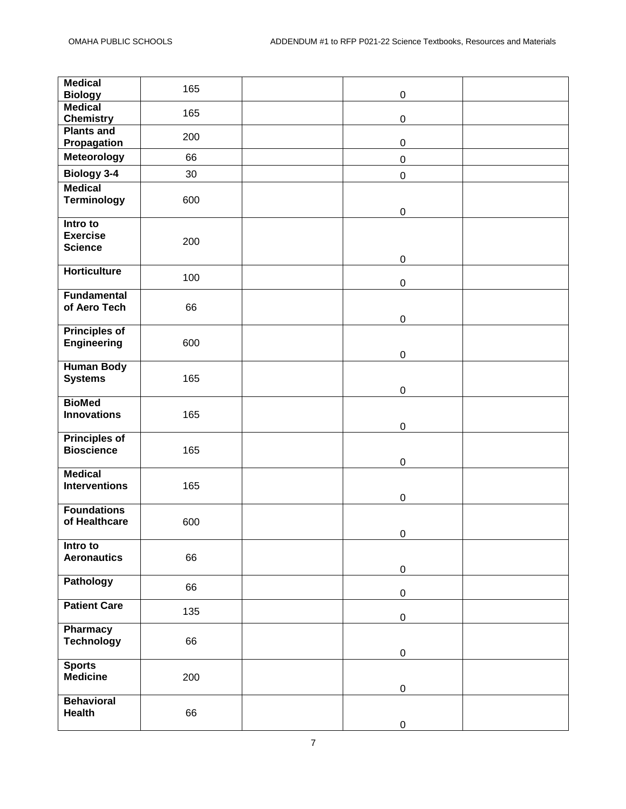| <b>Medical</b><br><b>Biology</b>              | 165 | $\pmb{0}$   |  |
|-----------------------------------------------|-----|-------------|--|
| <b>Medical</b><br><b>Chemistry</b>            | 165 | $\pmb{0}$   |  |
| <b>Plants and</b><br>Propagation              | 200 | $\mathbf 0$ |  |
| <b>Meteorology</b>                            | 66  | $\pmb{0}$   |  |
| <b>Biology 3-4</b>                            | 30  | $\mathbf 0$ |  |
| <b>Medical</b><br><b>Terminology</b>          | 600 | $\mathbf 0$ |  |
| Intro to<br><b>Exercise</b><br><b>Science</b> | 200 | $\mathbf 0$ |  |
| <b>Horticulture</b>                           | 100 | $\,0\,$     |  |
| <b>Fundamental</b><br>of Aero Tech            | 66  | $\pmb{0}$   |  |
| <b>Principles of</b><br><b>Engineering</b>    | 600 | $\pmb{0}$   |  |
| <b>Human Body</b><br><b>Systems</b>           | 165 | $\mathbf 0$ |  |
| <b>BioMed</b><br><b>Innovations</b>           | 165 | $\mathbf 0$ |  |
| <b>Principles of</b><br><b>Bioscience</b>     | 165 | $\pmb{0}$   |  |
| <b>Medical</b><br><b>Interventions</b>        | 165 | $\,0\,$     |  |
| <b>Foundations</b><br>of Healthcare           | 600 | $\Omega$    |  |
| Intro to<br><b>Aeronautics</b>                | 66  | $\pmb{0}$   |  |
| <b>Pathology</b>                              | 66  | $\pmb{0}$   |  |
| <b>Patient Care</b>                           | 135 | $\mathbf 0$ |  |
| Pharmacy<br><b>Technology</b>                 | 66  | $\mathbf 0$ |  |
| <b>Sports</b><br><b>Medicine</b>              | 200 | $\mathbf 0$ |  |
| <b>Behavioral</b><br><b>Health</b>            | 66  | $\pmb{0}$   |  |